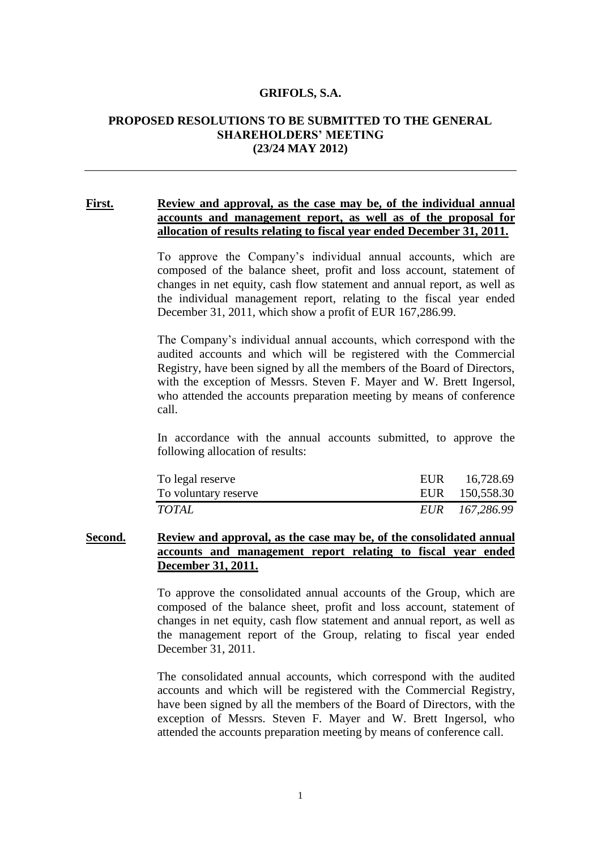#### **GRIFOLS, S.A.**

#### **PROPOSED RESOLUTIONS TO BE SUBMITTED TO THE GENERAL SHAREHOLDERS' MEETING (23/24 MAY 2012)**

#### **First. Review and approval, as the case may be, of the individual annual accounts and management report, as well as of the proposal for allocation of results relating to fiscal year ended December 31, 2011.**

To approve the Company's individual annual accounts, which are composed of the balance sheet, profit and loss account, statement of changes in net equity, cash flow statement and annual report, as well as the individual management report, relating to the fiscal year ended December 31, 2011, which show a profit of EUR 167,286.99.

The Company's individual annual accounts, which correspond with the audited accounts and which will be registered with the Commercial Registry, have been signed by all the members of the Board of Directors, with the exception of Messrs. Steven F. Mayer and W. Brett Ingersol, who attended the accounts preparation meeting by means of conference call.

In accordance with the annual accounts submitted, to approve the following allocation of results:

| To legal reserve     | EUR 16,728.69  |
|----------------------|----------------|
| To voluntary reserve | EUR 150,558.30 |
| TOTAL                | EUR 167,286.99 |

## **Second. Review and approval, as the case may be, of the consolidated annual accounts and management report relating to fiscal year ended December 31, 2011.**

To approve the consolidated annual accounts of the Group, which are composed of the balance sheet, profit and loss account, statement of changes in net equity, cash flow statement and annual report, as well as the management report of the Group, relating to fiscal year ended December 31, 2011.

The consolidated annual accounts, which correspond with the audited accounts and which will be registered with the Commercial Registry, have been signed by all the members of the Board of Directors, with the exception of Messrs. Steven F. Mayer and W. Brett Ingersol, who attended the accounts preparation meeting by means of conference call.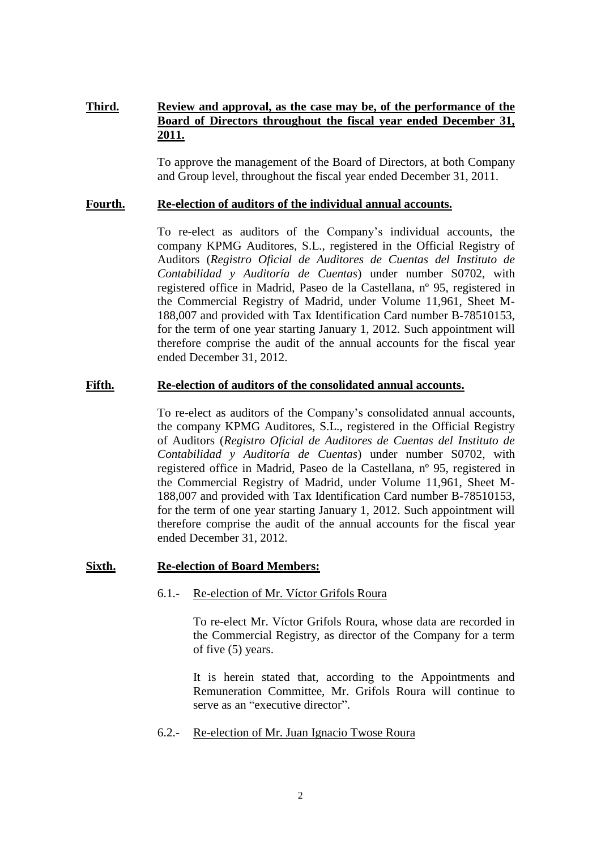# **Third. Review and approval, as the case may be, of the performance of the Board of Directors throughout the fiscal year ended December 31, 2011.**

To approve the management of the Board of Directors, at both Company and Group level, throughout the fiscal year ended December 31, 2011.

## **Fourth. Re-election of auditors of the individual annual accounts.**

To re-elect as auditors of the Company's individual accounts, the company KPMG Auditores, S.L., registered in the Official Registry of Auditors (*Registro Oficial de Auditores de Cuentas del Instituto de Contabilidad y Auditoría de Cuentas*) under number S0702, with registered office in Madrid, Paseo de la Castellana, nº 95, registered in the Commercial Registry of Madrid, under Volume 11,961, Sheet M-188,007 and provided with Tax Identification Card number B-78510153, for the term of one year starting January 1, 2012. Such appointment will therefore comprise the audit of the annual accounts for the fiscal year ended December 31, 2012.

#### **Fifth. Re-election of auditors of the consolidated annual accounts.**

To re-elect as auditors of the Company's consolidated annual accounts, the company KPMG Auditores, S.L., registered in the Official Registry of Auditors (*Registro Oficial de Auditores de Cuentas del Instituto de Contabilidad y Auditoría de Cuentas*) under number S0702, with registered office in Madrid, Paseo de la Castellana, nº 95, registered in the Commercial Registry of Madrid, under Volume 11,961, Sheet M-188,007 and provided with Tax Identification Card number B-78510153, for the term of one year starting January 1, 2012. Such appointment will therefore comprise the audit of the annual accounts for the fiscal year ended December 31, 2012.

## **Sixth. Re-election of Board Members:**

## 6.1.- Re-election of Mr. Víctor Grifols Roura

To re-elect Mr. Víctor Grifols Roura, whose data are recorded in the Commercial Registry, as director of the Company for a term of five (5) years.

It is herein stated that, according to the Appointments and Remuneration Committee, Mr. Grifols Roura will continue to serve as an "executive director".

6.2.- Re-election of Mr. Juan Ignacio Twose Roura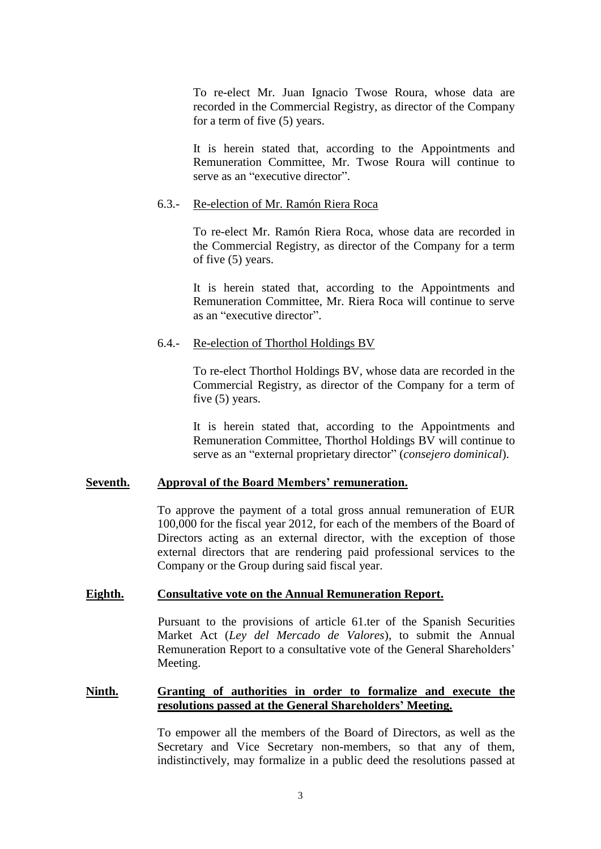To re-elect Mr. Juan Ignacio Twose Roura, whose data are recorded in the Commercial Registry, as director of the Company for a term of five (5) years.

It is herein stated that, according to the Appointments and Remuneration Committee, Mr. Twose Roura will continue to serve as an "executive director".

#### 6.3.- Re-election of Mr. Ramón Riera Roca

To re-elect Mr. Ramón Riera Roca, whose data are recorded in the Commercial Registry, as director of the Company for a term of five (5) years.

It is herein stated that, according to the Appointments and Remuneration Committee, Mr. Riera Roca will continue to serve as an "executive director".

## 6.4.- Re-election of Thorthol Holdings BV

To re-elect Thorthol Holdings BV, whose data are recorded in the Commercial Registry, as director of the Company for a term of five (5) years.

It is herein stated that, according to the Appointments and Remuneration Committee, Thorthol Holdings BV will continue to serve as an "external proprietary director" (*consejero dominical*).

## **Seventh. Approval of the Board Members' remuneration.**

To approve the payment of a total gross annual remuneration of EUR 100,000 for the fiscal year 2012, for each of the members of the Board of Directors acting as an external director, with the exception of those external directors that are rendering paid professional services to the Company or the Group during said fiscal year.

## **Eighth. Consultative vote on the Annual Remuneration Report.**

Pursuant to the provisions of article 61.ter of the Spanish Securities Market Act (*Ley del Mercado de Valores*), to submit the Annual Remuneration Report to a consultative vote of the General Shareholders' Meeting.

## **Ninth. Granting of authorities in order to formalize and execute the resolutions passed at the General Shareholders' Meeting.**

To empower all the members of the Board of Directors, as well as the Secretary and Vice Secretary non-members, so that any of them, indistinctively, may formalize in a public deed the resolutions passed at